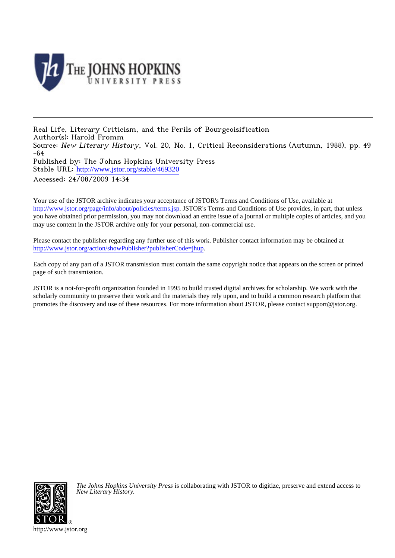

Real Life, Literary Criticism, and the Perils of Bourgeoisification Author(s): Harold Fromm Source: New Literary History, Vol. 20, No. 1, Critical Reconsiderations (Autumn, 1988), pp. 49 -64 Published by: The Johns Hopkins University Press Stable URL: [http://www.jstor.org/stable/469320](http://www.jstor.org/stable/469320?origin=JSTOR-pdf) Accessed: 24/08/2009 14:34

Your use of the JSTOR archive indicates your acceptance of JSTOR's Terms and Conditions of Use, available at <http://www.jstor.org/page/info/about/policies/terms.jsp>. JSTOR's Terms and Conditions of Use provides, in part, that unless you have obtained prior permission, you may not download an entire issue of a journal or multiple copies of articles, and you may use content in the JSTOR archive only for your personal, non-commercial use.

Please contact the publisher regarding any further use of this work. Publisher contact information may be obtained at [http://www.jstor.org/action/showPublisher?publisherCode=jhup.](http://www.jstor.org/action/showPublisher?publisherCode=jhup)

Each copy of any part of a JSTOR transmission must contain the same copyright notice that appears on the screen or printed page of such transmission.

JSTOR is a not-for-profit organization founded in 1995 to build trusted digital archives for scholarship. We work with the scholarly community to preserve their work and the materials they rely upon, and to build a common research platform that promotes the discovery and use of these resources. For more information about JSTOR, please contact support@jstor.org.



*The Johns Hopkins University Press* is collaborating with JSTOR to digitize, preserve and extend access to *New Literary History.*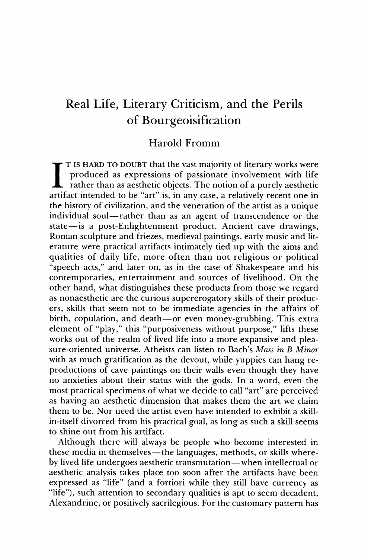## **Real Life, Literary Criticism, and the Perils of Bourgeoisification**

## **Harold Fromm**

**IT IS HARD TO DOUBT that the vast majority of literary works were produced as expressions of passionate involvement with life rather than as aesthetic objects. The notion of a purely aesthetic artifact intended to be "art" is, in any case, a relatively recent one in the history of civilization, and the veneration of the artist as a unique**  individual soul—rather than as an agent of transcendence or the state-is a post-Enlightenment product. Ancient cave drawings, **Roman sculpture and friezes, medieval paintings, early music and literature were practical artifacts intimately tied up with the aims and qualities of daily life, more often than not religious or political "speech acts," and later on, as in the case of Shakespeare and his contemporaries, entertainment and sources of livelihood. On the other hand, what distinguishes these products from those we regard as nonaesthetic are the curious supererogatory skills of their producers, skills that seem not to be immediate agencies in the affairs of birth, copulation, and death-or even money-grubbing. This extra element of "play," this "purposiveness without purpose," lifts these works out of the realm of lived life into a more expansive and pleasure-oriented universe. Atheists can listen to Bach's Mass in B Minor with as much gratification as the devout, while yuppies can hang reproductions of cave paintings on their walls even though they have no anxieties about their status with the gods. In a word, even the most practical specimens of what we decide to call "art" are perceived as having an aesthetic dimension that makes them the art we claim them to be. Nor need the artist even have intended to exhibit a skillin-itself divorced from his practical goal, as long as such a skill seems to shine out from his artifact.** 

**Although there will always be people who become interested in these media in themselves-the languages, methods, or skills whereby lived life undergoes aesthetic transmutation-when intellectual or aesthetic analysis takes place too soon after the artifacts have been expressed as "life" (and a fortiori while they still have currency as "life"), such attention to secondary qualities is apt to seem decadent, Alexandrine, or positively sacrilegious. For the customary pattern has**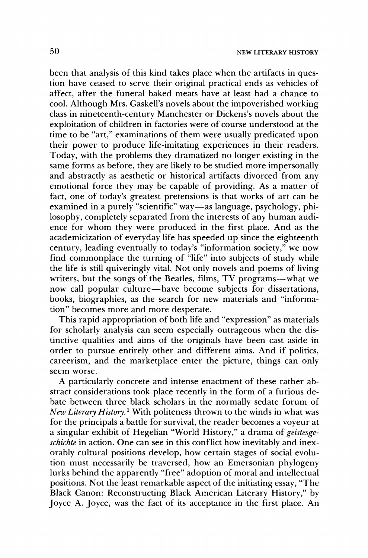**been that analysis of this kind takes place when the artifacts in question have ceased to serve their original practical ends as vehicles of affect, after the funeral baked meats have at least had a chance to cool. Although Mrs. Gaskell's novels about the impoverished working class in nineteenth-century Manchester or Dickens's novels about the exploitation of children in factories were of course understood at the time to be "art," examinations of them were usually predicated upon their power to produce life-imitating experiences in their readers. Today, with the problems they dramatized no longer existing in the same forms as before, they are likely to be studied more impersonally and abstractly as aesthetic or historical artifacts divorced from any emotional force they may be capable of providing. As a matter of fact, one of today's greatest pretensions is that works of art can be**  examined in a purely "scientific" way—as language, psychology, phi**losophy, completely separated from the interests of any human audience for whom they were produced in the first place. And as the academicization of everyday life has speeded up since the eighteenth century, leading eventually to today's "information society," we now find commonplace the turning of "life" into subjects of study while the life is still quiveringly vital. Not only novels and poems of living**  writers, but the songs of the Beatles, films, TV programs-what we **now call popular culture-have become subjects for dissertations, books, biographies, as the search for new materials and "information" becomes more and more desperate.** 

**This rapid appropriation of both life and "expression" as materials for scholarly analysis can seem especially outrageous when the distinctive qualities and aims of the originals have been cast aside in order to pursue entirely other and different aims. And if politics, careerism, and the marketplace enter the picture, things can only seem worse.** 

**A particularly concrete and intense enactment of these rather abstract considerations took place recently in the form of a furious debate between three black scholars in the normally sedate forum of New Literary History.1 With politeness thrown to the winds in what was for the principals a battle for survival, the reader becomes a voyeur at a singular exhibit of Hegelian "World History," a drama of geistesgeschichte in action. One can see in this conflict how inevitably and inexorably cultural positions develop, how certain stages of social evolution must necessarily be traversed, how an Emersonian phylogeny lurks behind the apparently "free" adoption of moral and intellectual positions. Not the least remarkable aspect of the initiating essay, "The Black Canon: Reconstructing Black American Literary History," by Joyce A. Joyce, was the fact of its acceptance in the first place. An**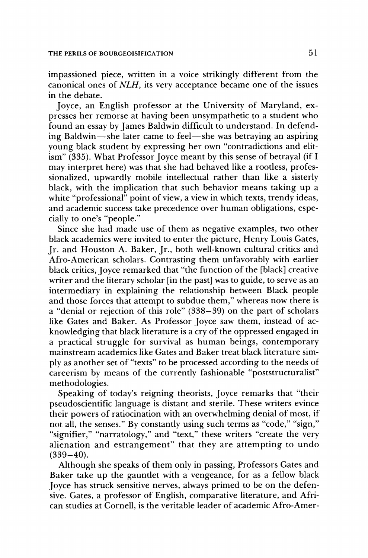**impassioned piece, written in a voice strikingly different from the canonical ones of NLH, its very acceptance became one of the issues in the debate.** 

**Joyce, an English professor at the University of Maryland, expresses her remorse at having been unsympathetic to a student who found an essay by James Baldwin difficult to understand. In defending Baldwin-she later came to feel-she was betraying an aspiring young black student by expressing her own "contradictions and elitism" (335). What Professor Joyce meant by this sense of betrayal (if I may interpret here) was that she had behaved like a rootless, professionalized, upwardly mobile intellectual rather than like a sisterly black, with the implication that such behavior means taking up a white "professional" point of view, a view in which texts, trendy ideas, and academic success take precedence over human obligations, especially to one's "people."** 

**Since she had made use of them as negative examples, two other black academics were invited to enter the picture, Henry Louis Gates, Jr. and Houston A. Baker, Jr., both well-known cultural critics and Afro-American scholars. Contrasting them unfavorably with earlier black critics, Joyce remarked that "the function of the [black] creative writer and the literary scholar [in the past] was to guide, to serve as an intermediary in explaining the relationship between Black people and those forces that attempt to subdue them," whereas now there is a "denial or rejection of this role" (338-39) on the part of scholars like Gates and Baker. As Professor Joyce saw them, instead of acknowledging that black literature is a cry of the oppressed engaged in a practical struggle for survival as human beings, contemporary mainstream academics like Gates and Baker treat black literature simply as another set of "texts" to be processed according to the needs of careerism by means of the currently fashionable "poststructuralist" methodologies.** 

**Speaking of today's reigning theorists, Joyce remarks that "their pseudoscientific language is distant and sterile. These writers evince their powers of ratiocination with an overwhelming denial of most, if not all, the senses." By constantly using such terms as "code," "sign," "signifier," "narratology," and "text," these writers "create the very alienation and estrangement" that they are attempting to undo (339-40).** 

**Although she speaks of them only in passing, Professors Gates and Baker take up the gauntlet with a vengeance, for as a fellow black Joyce has struck sensitive nerves, always primed to be on the defensive. Gates, a professor of English, comparative literature, and African studies at Cornell, is the veritable leader of academic Afro-Amer-**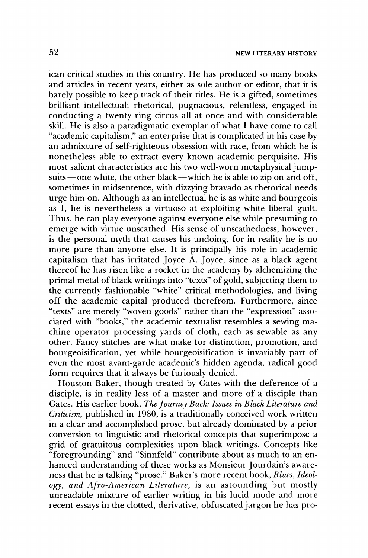**ican critical studies in this country. He has produced so many books and articles in recent years, either as sole author or editor, that it is barely possible to keep track of their titles. He is a gifted, sometimes brilliant intellectual: rhetorical, pugnacious, relentless, engaged in conducting a twenty-ring circus all at once and with considerable skill. He is also a paradigmatic exemplar of what I have come to call "academic capitalism," an enterprise that is complicated in his case by an admixture of self-righteous obsession with race, from which he is nonetheless able to extract every known academic perquisite. His most salient characteristics are his two well-worn metaphysical jump**suits-one white, the other black-which he is able to zip on and off, **sometimes in midsentence, with dizzying bravado as rhetorical needs urge him on. Although as an intellectual he is as white and bourgeois as I, he is nevertheless a virtuoso at exploiting white liberal guilt. Thus, he can play everyone against everyone else while presuming to emerge with virtue unscathed. His sense of unscathedness, however, is the personal myth that causes his undoing, for in reality he is no more pure than anyone else. It is principally his role in academic capitalism that has irritated Joyce A. Joyce, since as a black agent thereof he has risen like a rocket in the academy by alchemizing the primal metal of black writings into "texts" of gold, subjecting them to the currently fashionable "white" critical methodologies, and living off the academic capital produced therefrom. Furthermore, since "texts" are merely "woven goods" rather than the "expression" associated with "books," the academic textualist resembles a sewing machine operator processing yards of cloth, each as sewable as any other. Fancy stitches are what make for distinction, promotion, and bourgeoisification, yet while bourgeoisification is invariably part of even the most avant-garde academic's hidden agenda, radical good form requires that it always be furiously denied.** 

**Houston Baker, though treated by Gates with the deference of a disciple, is in reality less of a master and more of a disciple than Gates. His earlier book, The Journey Back: Issues in Black Literature and Criticism, published in 1980, is a traditionally conceived work written in a clear and accomplished prose, but already dominated by a prior conversion to linguistic and rhetorical concepts that superimpose a grid of gratuitous complexities upon black writings. Concepts like "foregrounding" and "Sinnfeld" contribute about as much to an enhanced understanding of these works as Monsieur Jourdain's awareness that he is talking "prose." Baker's more recent book, Blues, Ideology, and Afro-American Literature, is an astounding but mostly unreadable mixture of earlier writing in his lucid mode and more recent essays in the clotted, derivative, obfuscated jargon he has pro-**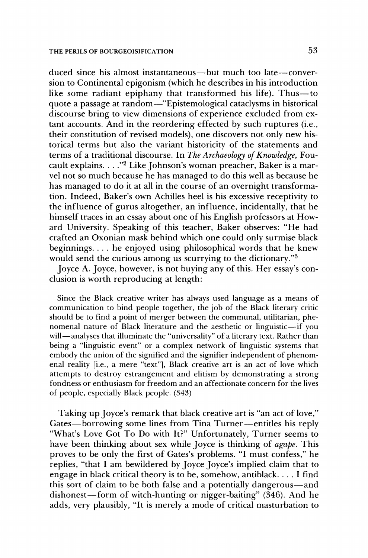**duced since his almost instantaneous-but much too late-conversion to Continental epigonism (which he describes in his introduction**  like some radiant epiphany that transformed his life). Thus-to **quote a passage at random-"Epistemological cataclysms in historical discourse bring to view dimensions of experience excluded from extant accounts. And in the reordering effected by such ruptures (i.e., their constitution of revised models), one discovers not only new historical terms but also the variant historicity of the statements and terms of a traditional discourse. In The Archaeology of Knowledge, Foucault explains. .. ."2 Like Johnson's woman preacher, Baker is a marvel not so much because he has managed to do this well as because he has managed to do it at all in the course of an overnight transformation. Indeed, Baker's own Achilles heel is his excessive receptivity to the influence of gurus altogether, an influence, incidentally, that he himself traces in an essay about one of his English professors at Howard University. Speaking of this teacher, Baker observes: "He had crafted an Oxonian mask behind which one could only surmise black beginnings.... he enjoyed using philosophical words that he knew would send the curious among us scurrying to the dictionary."3** 

**Joyce A. Joyce, however, is not buying any of this. Her essay's conclusion is worth reproducing at length:** 

**Since the Black creative writer has always used language as a means of communication to bind people together, the job of the Black literary critic should be to find a point of merger between the communal, utilitarian, phenomenal nature of Black literature and the aesthetic or linguistic-if you**  will-analyses that illuminate the "universality" of a literary text. Rather than **being a "linguistic event" or a complex network of linguistic systems that embody the union of the signified and the signifier independent of phenomenal reality [i.e., a mere "text"], Black creative art is an act of love which attempts to destroy estrangement and elitism by demonstrating a strong fondness or enthusiasm for freedom and an affectionate concern for the lives of people, especially Black people. (343)** 

**Taking up Joyce's remark that black creative art is "an act of love,"**  Gates-borrowing some lines from Tina Turner-entitles his reply **"What's Love Got To Do with It?" Unfortunately, Turner seems to have been thinking about sex while Joyce is thinking of agape. This proves to be only the first of Gates's problems. "I must confess," he replies, "that I am bewildered by Joyce Joyce's implied claim that to engage in black critical theory is to be, somehow, antiblack .... I find this sort of claim to be both false and a potentially dangerous-and**  dishonest—form of witch-hunting or nigger-baiting" (346). And he **adds, very plausibly, "It is merely a mode of critical masturbation to**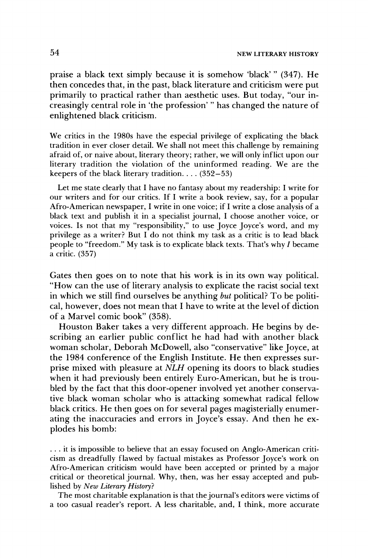**praise a black text simply because it is somehow 'black'" (347). He then concedes that, in the past, black literature and criticism were put primarily to practical rather than aesthetic uses. But today, "our increasingly central role in 'the profession'" has changed the nature of enlightened black criticism.** 

**We critics in the 1980s have the especial privilege of explicating the black tradition in ever closer detail. We shall not meet this challenge by remaining afraid of, or naive about, literary theory; rather, we will only inflict upon our literary tradition the violation of the uninformed reading. We are the keepers of the black literary tradition.... (352-53)** 

**Let me state clearly that I have no fantasy about my readership: I write for our writers and for our critics. If I write a book review, say, for a popular Afro-American newspaper, I write in one voice; if I write a close analysis of a black text and publish it in a specialist journal, I choose another voice, or voices. Is not that my "responsibility," to use Joyce Joyce's word, and my privilege as a writer? But I do not think my task as a critic is to lead black people to "freedom." My task is to explicate black texts. That's why I became a critic. (357)** 

**Gates then goes on to note that his work is in its own way political. "How can the use of literary analysis to explicate the racist social text in which we still find ourselves be anything but political? To be political, however, does not mean that I have to write at the level of diction of a Marvel comic book" (358).** 

**Houston Baker takes a very different approach. He begins by describing an earlier public conflict he had had with another black woman scholar, Deborah McDowell, also "conservative" like Joyce, at the 1984 conference of the English Institute. He then expresses surprise mixed with pleasure at NLH opening its doors to black studies when it had previously been entirely Euro-American, but he is troubled by the fact that this door-opener involved yet another conservative black woman scholar who is attacking somewhat radical fellow black critics. He then goes on for several pages magisterially enumerating the inaccuracies and errors in Joyce's essay. And then he explodes his bomb:** 

**... it is impossible to believe that an essay focused on Anglo-American criticism as dreadfully flawed by factual mistakes as Professor Joyce's work on Afro-American criticism would have been accepted or printed by a major critical or theoretical journal. Why, then, was her essay accepted and published by New Literary History?** 

**The most charitable explanation is that the journal's editors were victims of a too casual reader's report. A less charitable, and, I think, more accurate**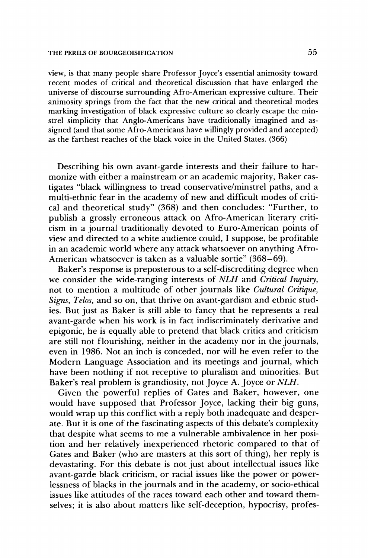**view, is that many people share Professor Joyce's essential animosity toward recent modes of critical and theoretical discussion that have enlarged the universe of discourse surrounding Afro-American expressive culture. Their animosity springs from the fact that the new critical and theoretical modes marking investigation of black expressive culture so clearly escape the minstrel simplicity that Anglo-Americans have traditionally imagined and assigned (and that some Afro-Americans have willingly provided and accepted) as the farthest reaches of the black voice in the United States. (366)** 

**Describing his own avant-garde interests and their failure to harmonize with either a mainstream or an academic majority, Baker castigates "black willingness to tread conservative/minstrel paths, and a multi-ethnic fear in the academy of new and difficult modes of critical and theoretical study" (368) and then concludes: "Further, to publish a grossly erroneous attack on Afro-American literary criticism in a journal traditionally devoted to Euro-American points of view and directed to a white audience could, I suppose, be profitable in an academic world where any attack whatsoever on anything Afro-American whatsoever is taken as a valuable sortie" (368-69).** 

**Baker's response is preposterous to a self-discrediting degree when we consider the wide-ranging interests of NLH and Critical Inquiry, not to mention a multitude of other journals like Cultural Critique, Signs, Telos, and so on, that thrive on avant-gardism and ethnic studies. But just as Baker is still able to fancy that he represents a real avant-garde when his work is in fact indiscriminately derivative and epigonic, he is equally able to pretend that black critics and criticism are still not flourishing, neither in the academy nor in the journals, even in 1986. Not an inch is conceded, nor will he even refer to the Modern Language Association and its meetings and journal, which have been nothing if not receptive to pluralism and minorities. But Baker's real problem is grandiosity, not Joyce A. Joyce or NLH.** 

**Given the powerful replies of Gates and Baker, however, one would have supposed that Professor Joyce, lacking their big guns, would wrap up this conflict with a reply both inadequate and desperate. But it is one of the fascinating aspects of this debate's complexity that despite what seems to me a vulnerable ambivalence in her position and her relatively inexperienced rhetoric compared to that of Gates and Baker (who are masters at this sort of thing), her reply is devastating. For this debate is not just about intellectual issues like avant-garde black criticism, or racial issues like the power or powerlessness of blacks in the journals and in the academy, or socio-ethical issues like attitudes of the races toward each other and toward themselves; it is also about matters like self-deception, hypocrisy, profes-**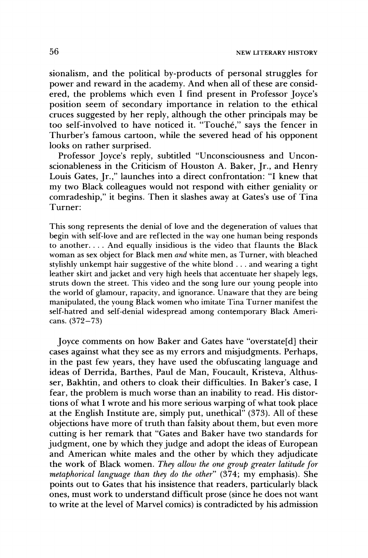**sionalism, and the political by-products of personal struggles for power and reward in the academy. And when all of these are considered, the problems which even I find present in Professor Joyce's position seem of secondary importance in relation to the ethical cruces suggested by her reply, although the other principals may be too self-involved to have noticed it. "Touche," says the fencer in Thurber's famous cartoon, while the severed head of his opponent looks on rather surprised.** 

**Professor Joyce's reply, subtitled "Unconsciousness and Unconscionableness in the Criticism of Houston A. Baker, Jr., and Henry Louis Gates, Jr.," launches into a direct confrontation: "I knew that my two Black colleagues would not respond with either geniality or comradeship," it begins. Then it slashes away at Gates's use of Tina Turner:** 

**This song represents the denial of love and the degeneration of values that begin with self-love and are reflected in the way one human being responds to another ... And equally insidious is the video that flaunts the Black woman as sex object for Black men and white men, as Turner, with bleached stylishly unkempt hair suggestive of the white blond ... and wearing a tight leather skirt and jacket and very high heels that accentuate her shapely legs, struts down the street. This video and the song lure our young people into the world of glamour, rapacity, and ignorance. Unaware that they are being manipulated, the young Black women who imitate Tina Turner manifest the self-hatred and self-denial widespread among contemporary Black Americans. (372-73)** 

**Joyce comments on how Baker and Gates have "overstate[d] their cases against what they see as my errors and misjudgments. Perhaps, in the past few years, they have used the obfuscating language and ideas of Derrida, Barthes, Paul de Man, Foucault, Kristeva, Althusser, Bakhtin, and others to cloak their difficulties. In Baker's case, I fear, the problem is much worse than an inability to read. His distortions of what I wrote and his more serious warping of what took place at the English Institute are, simply put, unethical" (373). All of these objections have more of truth than falsity about them, but even more cutting is her remark that "Gates and Baker have two standards for judgment, one by which they judge and adopt the ideas of European and American white males and the other by which they adjudicate the work of Black women. They allow the one group greater latitude for metaphorical language than they do the other" (374; my emphasis). She points out to Gates that his insistence that readers, particularly black ones, must work to understand difficult prose (since he does not want to write at the level of Marvel comics) is contradicted by his admission**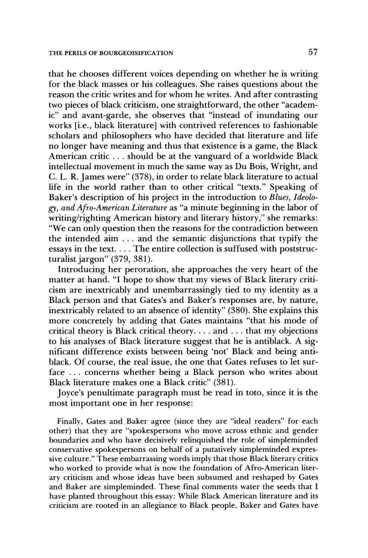**that he chooses different voices depending on whether he is writing for the black masses or his colleagues. She raises questions about the reason the critic writes and for whom he writes. And after contrasting two pieces of black criticism, one straightforward, the other "academic" and avant-garde, she observes that "instead of inundating our works [i.e., black literature] with contrived references to fashionable scholars and philosophers who have decided that literature and life no longer have meaning and thus that existence is a game, the Black American critic ... should be at the vanguard of a worldwide Black intellectual movement in much the same way as Du Bois, Wright, and C. L. R. James were" (378), in order to relate black literature to actual life in the world rather than to other critical "texts." Speaking of Baker's description of his project in the introduction to Blues, Ideology, and Afro-American Literature as "a minute beginning in the labor of writing/righting American history and literary history," she remarks: "We can only question then the reasons for the contradiction between the intended aim ... and the semantic disjunctions that typify the essays in the text.... The entire collection is suffused with poststructuralist jargon" (379, 381).** 

**Introducing her peroration, she approaches the very heart of the matter at hand. "I hope to show that my views of Black literary criticism are inextricably and unembarrassingly tied to my identity as a Black person and that Gates's and Baker's responses are, by nature, inextricably related to an absence of identity" (380). She explains this more concretely by adding that Gates maintains "that his mode of critical theory is Black critical theory.... and ... that my objections to his analyses of Black literature suggest that he is antiblack. A significant difference exists between being 'not' Black and being antiblack. Of course, the real issue, the one that Gates refuses to let surface ... concerns whether being a Black person who writes about Black literature makes one a Black critic" (381).** 

**Joyce's penultimate paragraph must be read in toto, since it is the most important one in her response:** 

**Finally, Gates and Baker agree (since they are "ideal readers" for each other) that they are "spokespersons who move across ethnic and gender boundaries and who have decisively relinquished the role of simpleminded conservative spokespersons on behalf of a putatively simpleminded expressive culture." These embarrassing words imply that those Black literary critics who worked to provide what is now the foundation of Afro-American literary criticism and whose ideas have been subsumed and reshaped by Gates and Baker are simpleminded. These final comments water the seeds that I have planted throughout this essay: While Black American literature and its criticism are rooted in an allegiance to Black people, Baker and Gates have**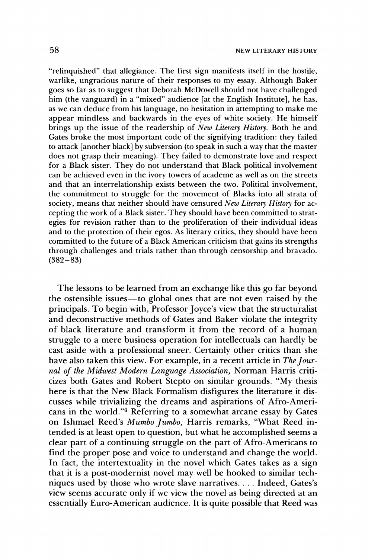**"relinquished" that allegiance. The first sign manifests itself in the hostile, warlike, ungracious nature of their responses to my essay. Although Baker goes so far as to suggest that Deborah McDowell should not have challenged him (the vanguard) in a "mixed" audience [at the English Institute], he has, as we can deduce from his language, no hesitation in attempting to make me appear mindless and backwards in the eyes of white society. He himself brings up the issue of the readership of New Literary History. Both he and Gates broke the most important code of the signifying tradition: they failed to attack [another black] by subversion (to speak in such a way that the master does not grasp their meaning). They failed to demonstrate love and respect for a Black sister. They do not understand that Black political involvement can be achieved even in the ivory towers of academe as well as on the streets and that an interrelationship exists between the two. Political involvement, the commitment to struggle for the movement of Blacks into all strata of society, means that neither should have censured New Literary History for accepting the work of a Black sister. They should have been committed to strategies for revision rather than to the proliferation of their individual ideas and to the protection of their egos. As literary critics, they should have been committed to the future of a Black American criticism that gains its strengths through challenges and trials rather than through censorship and bravado. (382-83)** 

**The lessons to be learned from an exchange like this go far beyond the ostensible issues-to global ones that are not even raised by the principals. To begin with, Professor Joyce's view that the structuralist and deconstructive methods of Gates and Baker violate the integrity of black literature and transform it from the record of a human struggle to a mere business operation for intellectuals can hardly be cast aside with a professional sneer. Certainly other critics than she have also taken this view. For example, in a recent article in The Journal of the Midwest Modern Language Association, Norman Harris criticizes both Gates and Robert Stepto on similar grounds. "My thesis here is that the New Black Formalism disfigures the literature it discusses while trivializing the dreams and aspirations of Afro-Americans in the world."4 Referring to a somewhat arcane essay by Gates on Ishmael Reed's Mumbo Jumbo, Harris remarks, "What Reed intended is at least open to question, but what he accomplished seems a clear part of a continuing struggle on the part of Afro-Americans to find the proper pose and voice to understand and change the world. In fact, the intertextuality in the novel which Gates takes as a sign that it is a post-modernist novel may well be hooked to similar techniques used by those who wrote slave narratives.... Indeed, Gates's view seems accurate only if we view the novel as being directed at an essentially Euro-American audience. It is quite possible that Reed was**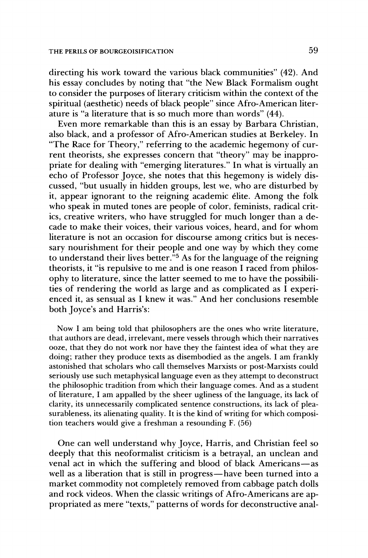**directing his work toward the various black communities" (42). And his essay concludes by noting that "the New Black Formalism ought to consider the purposes of literary criticism within the context of the spiritual (aesthetic) needs of black people" since Afro-American literature is "a literature that is so much more than words" (44).** 

**Even more remarkable than this is an essay by Barbara Christian, also black, and a professor of Afro-American studies at Berkeley. In "The Race for Theory," referring to the academic hegemony of current theorists, she expresses concern that "theory" may be inappropriate for dealing with "emerging literatures." In what is virtually an**  echo of Professor Joyce, she notes that this hegemony is widely dis**cussed, "but usually in hidden groups, lest we, who are disturbed by it, appear ignorant to the reigning academic elite. Among the folk**  who speak in muted tones are people of color, feminists, radical crit**ics, creative writers, who have struggled for much longer than a decade to make their voices, their various voices, heard, and for whom literature is not an occasion for discourse among critics but is necessary nourishment for their people and one way by which they come to understand their lives better."5 As for the language of the reigning theorists, it "is repulsive to me and is one reason I raced from philosophy to literature, since the latter seemed to me to have the possibilities of rendering the world as large and as complicated as I experienced it, as sensual as I knew it was." And her conclusions resemble both Joyce's and Harris's:** 

**Now I am being told that philosophers are the ones who write literature, that authors are dead, irrelevant, mere vessels through which their narratives ooze, that they do not work nor have they the faintest idea of what they are doing; rather they produce texts as disembodied as the angels. I am frankly astonished that scholars who call themselves Marxists or post-Marxists could seriously use such metaphysical language even as they attempt to deconstruct the philosophic tradition from which their language comes. And as a student of literature, I am appalled by the sheer ugliness of the language, its lack of clarity, its unnecessarily complicated sentence constructions, its lack of pleasurableness, its alienating quality. It is the kind of writing for which composition teachers would give a freshman a resounding F. (56)** 

**One can well understand why Joyce, Harris, and Christian feel so deeply that this neoformalist criticism is a betrayal, an unclean and**  venal act in which the suffering and blood of black Americans-as well as a liberation that is still in progress-have been turned into a **market commodity not completely removed from cabbage patch dolls and rock videos. When the classic writings of Afro-Americans are appropriated as mere "texts," patterns of words for deconstructive anal-**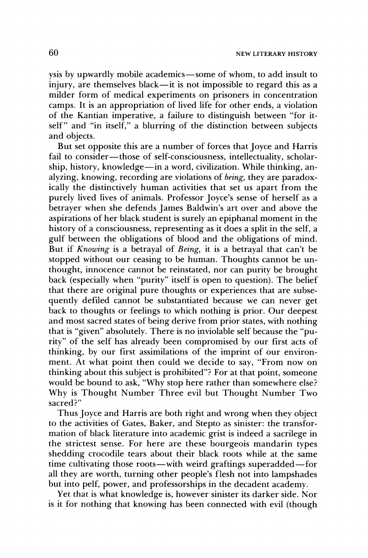**ysis by upwardly mobile academics-some of whom, to add insult to injury, are themselves black-it is not impossible to regard this as a milder form of medical experiments on prisoners in concentration camps. It is an appropriation of lived life for other ends, a violation of the Kantian imperative, a failure to distinguish between "for itself" and "in itself," a blurring of the distinction between subjects and objects.** 

**But set opposite this are a number of forces that Joyce and Harris**  fail to consider—those of self-consciousness, intellectuality, scholarship, history, knowledge—in a word, civilization. While thinking, an**alyzing, knowing, recording are violations of being, they are paradoxically the distinctively human activities that set us apart from the purely lived lives of animals. Professor Joyce's sense of herself as a betrayer when she defends James Baldwin's art over and above the aspirations of her black student is surely an epiphanal moment in the history of a consciousness, representing as it does a split in the self, a gulf between the obligations of blood and the obligations of mind. But if Knowing is a betrayal of Being, it is a betrayal that can't be stopped without our ceasing to be human. Thoughts cannot be unthought, innocence cannot be reinstated, nor can purity be brought back (especially when "purity" itself is open to question). The belief that there are original pure thoughts or experiences that are subsequently defiled cannot be substantiated because we can never get back to thoughts or feelings to which nothing is prior. Our deepest and most sacred states of being derive from prior states, with nothing that is "given" absolutely. There is no inviolable self because the "purity" of the self has already been compromised by our first acts of thinking, by our first assimilations of the imprint of our environment. At what point then could we decide to say, "From now on thinking about this subject is prohibited"? For at that point, someone would be bound to ask, "Why stop here rather than somewhere else? Why is Thought Number Three evil but Thought Number Two sacred?"** 

**Thus Joyce and Harris are both right and wrong when they object to the activities of Gates, Baker, and Stepto as sinister: the transformation of black literature into academic grist is indeed a sacrilege in the strictest sense. For here are these bourgeois mandarin types shedding crocodile tears about their black roots while at the same**  time cultivating those roots—with weird graftings superadded—for **all they are worth, turning other people's flesh not into lampshades but into pelf, power, and professorships in the decadent academy.** 

**Yet that is what knowledge is, however sinister its darker side. Nor is it for nothing that knowing has been connected with evil (though**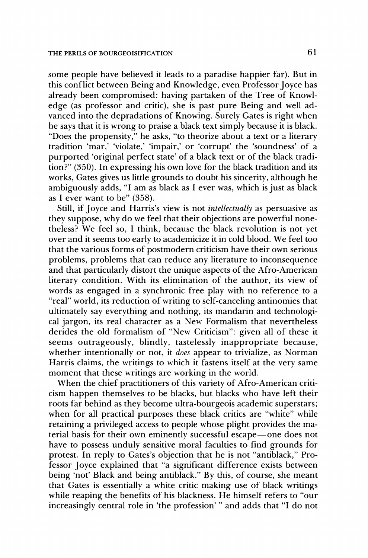**some people have believed it leads to a paradise happier far). But in this conflict between Being and Knowledge, even Professor Joyce has already been compromised: having partaken of the Tree of Knowledge (as professor and critic), she is past pure Being and well advanced into the depradations of Knowing. Surely Gates is right when he says that it is wrong to praise a black text simply because it is black. "Does the propensity," he asks, "to theorize about a text or a literary tradition 'mar,' 'violate,' 'impair,' or 'corrupt' the 'soundness' of a purported 'original perfect state' of a black text or of the black tradition?" (350). In expressing his own love for the black tradition and its works, Gates gives us little grounds to doubt his sincerity, although he ambiguously adds, "I am as black as I ever was, which is just as black as I ever want to be" (358).** 

**Still, if Joyce and Harris's view is not intellectually as persuasive as they suppose, why do we feel that their objections are powerful nonetheless? We feel so, I think, because the black revolution is not yet over and it seems too early to academicize it in cold blood. We feel too that the various forms of postmodern criticism have their own serious problems, problems that can reduce any literature to inconsequence and that particularly distort the unique aspects of the Afro-American literary condition. With its elimination of the author, its view of words as engaged in a synchronic free play with no reference to a "real" world, its reduction of writing to self-canceling antinomies that ultimately say everything and nothing, its mandarin and technological jargon, its real character as a New Formalism that nevertheless derides the old formalism of "New Criticism": given all of these it seems outrageously, blindly, tastelessly inappropriate because, whether intentionally or not, it does appear to trivialize, as Norman Harris claims, the writings to which it fastens itself at the very same moment that these writings are working in the world.** 

**When the chief practitioners of this variety of Afro-American criticism happen themselves to be blacks, but blacks who have left their roots far behind as they become ultra-bourgeois academic superstars; when for all practical purposes these black critics are "white" while retaining a privileged access to people whose plight provides the ma**terial basis for their own eminently successful escape—one does not **have to possess unduly sensitive moral faculties to find grounds for protest. In reply to Gates's objection that he is not "antiblack," Professor Joyce explained that "a significant difference exists between being 'not' Black and being antiblack." By this, of course, she meant that Gates is essentially a white critic making use of black writings while reaping the benefits of his blackness. He himself refers to "our increasingly central role in 'the profession' " and adds that "I do not**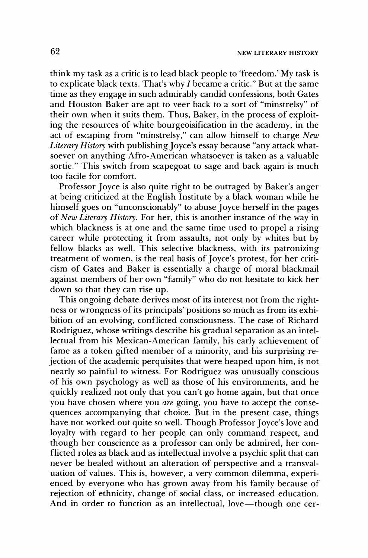**think my task as a critic is to lead black people to 'freedom.' My task is to explicate black texts. That's why I became a critic." But at the same time as they engage in such admirably candid confessions, both Gates and Houston Baker are apt to veer back to a sort of "minstrelsy" of their own when it suits them. Thus, Baker, in the process of exploiting the resources of white bourgeoisification in the academy, in the act of escaping from "minstrelsy," can allow himself to charge New**  Literary History with publishing Joyce's essay because "any attack what**soever on anything Afro-American whatsoever is taken as a valuable sortie." This switch from scapegoat to sage and back again is much too facile for comfort.** 

**Professor Joyce is also quite right to be outraged by Baker's anger at being criticized at the English Institute by a black woman while he himself goes on "unconscionably" to abuse Joyce herself in the pages of New Literary History. For her, this is another instance of the way in which blackness is at one and the same time used to propel a rising career while protecting it from assaults, not only by whites but by fellow blacks as well. This selective blackness, with its patronizing treatment of women, is the real basis of Joyce's protest, for her criticism of Gates and Baker is essentially a charge of moral blackmail against members of her own "family" who do not hesitate to kick her down so that they can rise up.** 

**This ongoing debate derives most of its interest not from the rightness or wrongness of its principals' positions so much as from its exhibition of an evolving, conflicted consciousness. The case of Richard Rodriguez, whose writings describe his gradual separation as an intellectual from his Mexican-American family, his early achievement of fame as a token gifted member of a minority, and his surprising rejection of the academic perquisites that were heaped upon him, is not nearly so painful to witness. For Rodriguez was unusually conscious of his own psychology as well as those of his environments, and he quickly realized not only that you can't go home again, but that once you have chosen where you are going, you have to accept the consequences accompanying that choice. But in the present case, things have not worked out quite so well. Though Professor Joyce's love and loyalty with regard to her people can only command respect, and though her conscience as a professor can only be admired, her conflicted roles as black and as intellectual involve a psychic split that can never be healed without an alteration of perspective and a transvaluation of values. This is, however, a very common dilemma, experienced by everyone who has grown away from his family because of rejection of ethnicity, change of social class, or increased education.**  And in order to function as an intellectual, love—though one cer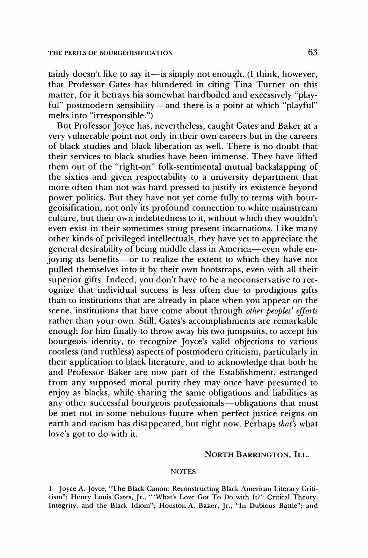tainly doesn't like to say it—is simply not enough. (I think, however, **that Professor Gates has blundered in citing Tina Turner on this matter, for it betrays his somewhat hardboiled and excessively "play**ful" postmodern sensibility—and there is a point at which "playful" **melts into "irresponsible.")** 

**But Professor Joyce has, nevertheless, caught Gates and Baker at a very vulnerable point not only in their own careers but in the careers of black studies and black liberation as well. There is no doubt that their services to black studies have been immense. They have lifted them out of the "right-on" folk-sentimental mutual backslapping of the sixties and given respectability to a university department that more often than not was hard pressed to justify its existence beyond power politics. But they have not yet come fully to terms with bourgeoisification, not only its profound connection to white mainstream culture, but their own indebtedness to it, without which they wouldn't even exist in their sometimes smug present incarnations. Like many other kinds of privileged intellectuals, they have yet to appreciate the general desirability of being middle class in America-even while enjoying its benefits-or to realize the extent to which they have not pulled themselves into it by their own bootstraps, even with all their superior gifts. Indeed, you don't have to be a neoconservative to recognize that individual success is less often due to prodigious gifts than to institutions that are already in place when you appear on the scene, institutions that have come about through other peoples' efforts rather than your own. Still, Gates's accomplishments are remarkable enough for him finally to throw away his two jumpsuits, to accept his bourgeois identity, to recognize Joyce's valid objections to various rootless (and ruthless) aspects of postmodern criticism, particularly in their application to black literature, and to acknowledge that both he and Professor Baker are now part of the Establishment, estranged from any supposed moral purity they may once have presumed to enjoy as blacks, while sharing the same obligations and liabilities as**  any other successful bourgeois professionals—obligations that must **be met not in some nebulous future when perfect justice reigns on earth and racism has disappeared, but right now. Perhaps that's what love's got to do with it.** 

## **NORTH BARRINGTON, ILL.**

## **NOTES**

**<sup>1</sup> Joyce A. Joyce, "The Black Canon: Reconstructing Black American Literary Criticism"; Henry Louis Gates, Jr., "'What's Love Got To Do with It?': Critical Theory, Integrity, and the Black Idiom"; Houston A. Baker, Jr., "In Dubious Battle"; and**